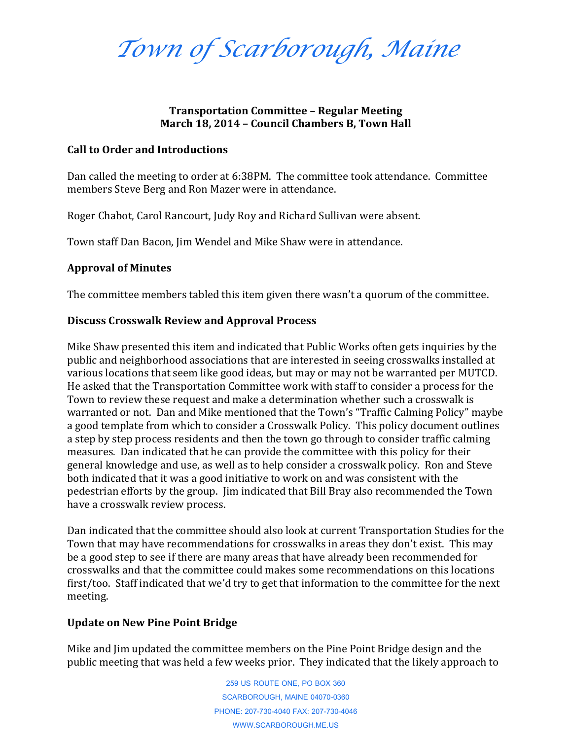*Town of Scarborough, Maine*

## **Transportation Committee – Regular Meeting March 18, 2014 – Council Chambers B, Town Hall**

### **Call to Order and Introductions**

Dan called the meeting to order at 6:38PM. The committee took attendance. Committee members Steve Berg and Ron Mazer were in attendance.

Roger Chabot, Carol Rancourt, Judy Roy and Richard Sullivan were absent.

Town staff Dan Bacon, Jim Wendel and Mike Shaw were in attendance.

# **Approval of Minutes**

The committee members tabled this item given there wasn't a quorum of the committee.

# **Discuss Crosswalk Review and Approval Process**

Mike Shaw presented this item and indicated that Public Works often gets inquiries by the public and neighborhood associations that are interested in seeing crosswalks installed at various locations that seem like good ideas, but may or may not be warranted per MUTCD. He asked that the Transportation Committee work with staff to consider a process for the Town to review these request and make a determination whether such a crosswalk is warranted or not. Dan and Mike mentioned that the Town's "Traffic Calming Policy" maybe a good template from which to consider a Crosswalk Policy. This policy document outlines a step by step process residents and then the town go through to consider traffic calming measures. Dan indicated that he can provide the committee with this policy for their general knowledge and use, as well as to help consider a crosswalk policy. Ron and Steve both indicated that it was a good initiative to work on and was consistent with the pedestrian efforts by the group. Jim indicated that Bill Bray also recommended the Town have a crosswalk review process.

Dan indicated that the committee should also look at current Transportation Studies for the Town that may have recommendations for crosswalks in areas they don't exist. This may be a good step to see if there are many areas that have already been recommended for crosswalks and that the committee could makes some recommendations on this locations first/too. Staff indicated that we'd try to get that information to the committee for the next meeting.

## **Update on New Pine Point Bridge**

Mike and Jim updated the committee members on the Pine Point Bridge design and the public meeting that was held a few weeks prior. They indicated that the likely approach to

> 259 US ROUTE ONE, PO BOX 360 SCARBOROUGH, MAINE 04070-0360 PHONE: 207-730-4040 FAX: 207-730-4046 WWW.SCARBOROUGH.ME.US